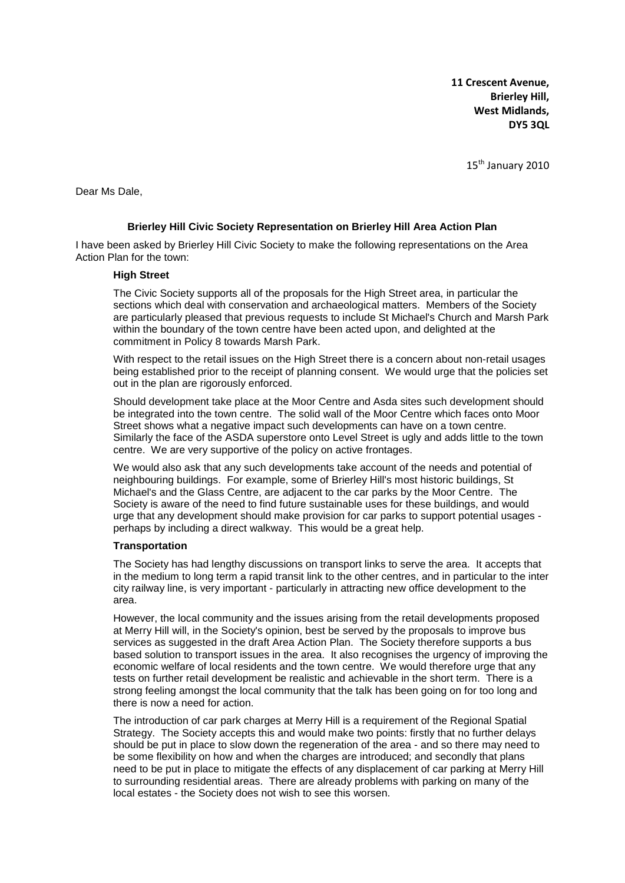**11 Crescent Avenue, Brierley Hill, West Midlands, DY5 3QL**

15<sup>th</sup> January 2010

Dear Ms Dale,

## **Brierley Hill Civic Society Representation on Brierley Hill Area Action Plan**

I have been asked by Brierley Hill Civic Society to make the following representations on the Area Action Plan for the town:

## **High Street**

The Civic Society supports all of the proposals for the High Street area, in particular the sections which deal with conservation and archaeological matters. Members of the Society are particularly pleased that previous requests to include St Michael's Church and Marsh Park within the boundary of the town centre have been acted upon, and delighted at the commitment in Policy 8 towards Marsh Park.

With respect to the retail issues on the High Street there is a concern about non-retail usages being established prior to the receipt of planning consent. We would urge that the policies set out in the plan are rigorously enforced.

Should development take place at the Moor Centre and Asda sites such development should be integrated into the town centre. The solid wall of the Moor Centre which faces onto Moor Street shows what a negative impact such developments can have on a town centre. Similarly the face of the ASDA superstore onto Level Street is ugly and adds little to the town centre. We are very supportive of the policy on active frontages.

We would also ask that any such developments take account of the needs and potential of neighbouring buildings. For example, some of Brierley Hill's most historic buildings, St Michael's and the Glass Centre, are adjacent to the car parks by the Moor Centre. The Society is aware of the need to find future sustainable uses for these buildings, and would urge that any development should make provision for car parks to support potential usages perhaps by including a direct walkway. This would be a great help.

#### **Transportation**

The Society has had lengthy discussions on transport links to serve the area. It accepts that in the medium to long term a rapid transit link to the other centres, and in particular to the inter city railway line, is very important - particularly in attracting new office development to the area.

However, the local community and the issues arising from the retail developments proposed at Merry Hill will, in the Society's opinion, best be served by the proposals to improve bus services as suggested in the draft Area Action Plan. The Society therefore supports a bus based solution to transport issues in the area. It also recognises the urgency of improving the economic welfare of local residents and the town centre. We would therefore urge that any tests on further retail development be realistic and achievable in the short term. There is a strong feeling amongst the local community that the talk has been going on for too long and there is now a need for action.

The introduction of car park charges at Merry Hill is a requirement of the Regional Spatial Strategy. The Society accepts this and would make two points: firstly that no further delays should be put in place to slow down the regeneration of the area - and so there may need to be some flexibility on how and when the charges are introduced; and secondly that plans need to be put in place to mitigate the effects of any displacement of car parking at Merry Hill to surrounding residential areas. There are already problems with parking on many of the local estates - the Society does not wish to see this worsen.